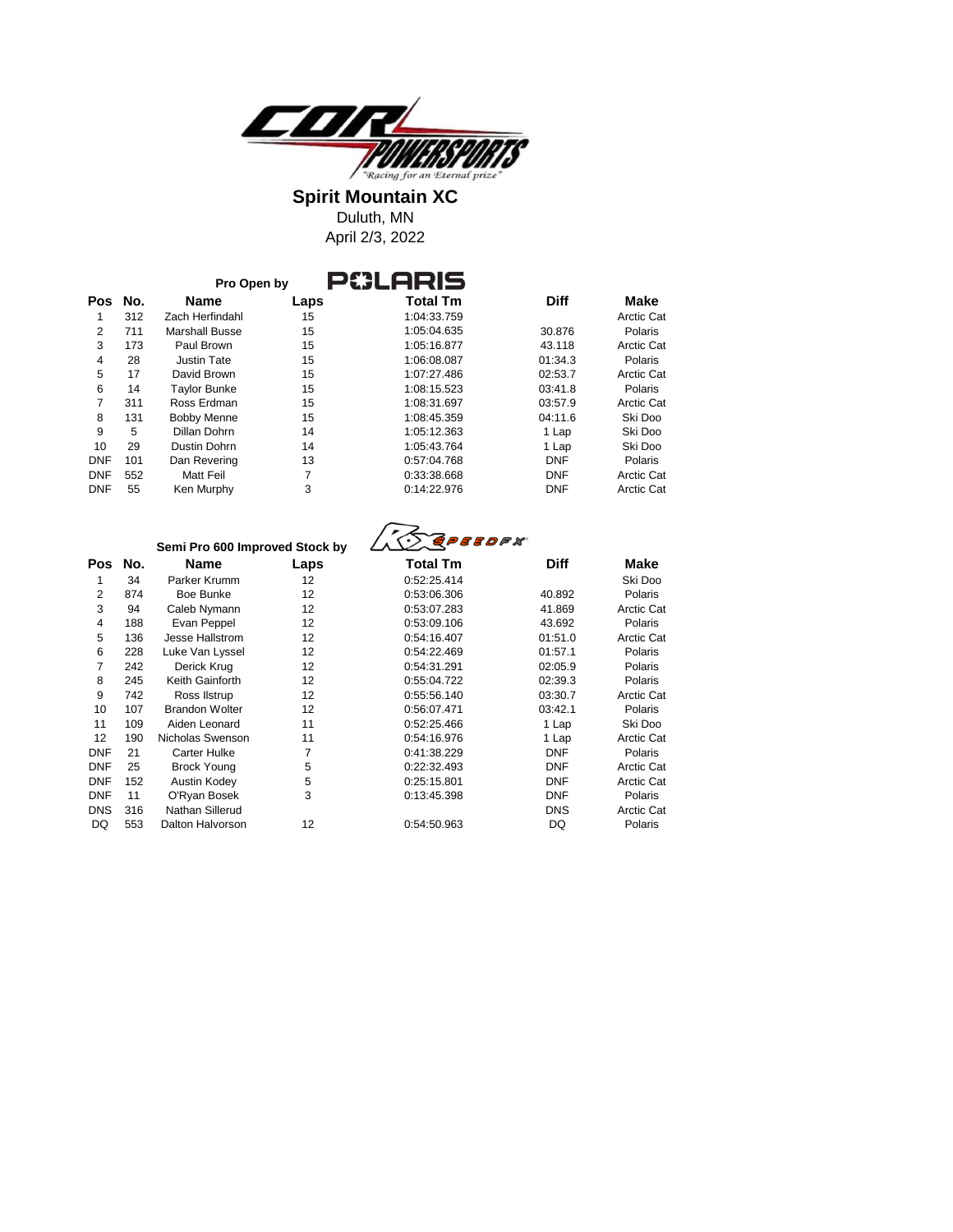

**Spirit Mountain XC** Duluth, MN

April 2/3, 2022

| No.<br>Pos | <b>Name</b>         | Laps | <b>Total Tm</b> | <b>Diff</b> | Make              |
|------------|---------------------|------|-----------------|-------------|-------------------|
| 312        | Zach Herfindahl     | 15   | 1:04:33.759     |             | <b>Arctic Cat</b> |
| 711        | Marshall Busse      | 15   | 1:05:04.635     | 30.876      | Polaris           |
| 173        | Paul Brown          | 15   | 1:05:16.877     | 43.118      | <b>Arctic Cat</b> |
| 28         | Justin Tate         | 15   | 1:06:08.087     | 01:34.3     | Polaris           |
| 17         | David Brown         | 15   | 1:07:27.486     | 02:53.7     | <b>Arctic Cat</b> |
| 14         | <b>Taylor Bunke</b> | 15   | 1:08:15.523     | 03:41.8     | Polaris           |
| 311        | Ross Erdman         | 15   | 1:08:31.697     | 03:57.9     | <b>Arctic Cat</b> |
| 131        | <b>Bobby Menne</b>  | 15   | 1:08:45.359     | 04:11.6     | Ski Doo           |
| 5          | Dillan Dohrn        | 14   | 1:05:12.363     | 1 Lap       | Ski Doo           |
| 29         | Dustin Dohrn        | 14   | 1:05:43.764     | 1 Lap       | Ski Doo           |
| 101        | Dan Revering        | 13   | 0:57:04.768     | <b>DNF</b>  | Polaris           |
| 552        | Matt Feil           | 7    | 0:33:38.668     | <b>DNF</b>  | <b>Arctic Cat</b> |
| 55         | Ken Murphy          | 3    | 0:14:22.976     | <b>DNF</b>  | <b>Arctic Cat</b> |
|            |                     |      | Pro Open by     | P8LARIS     |                   |

|                |     | Semi Pro 600 Improved Stock by |      | <i><b>GPEEDFX</b></i> |             |                   |
|----------------|-----|--------------------------------|------|-----------------------|-------------|-------------------|
| Pos            | No. | Name                           | Laps | <b>Total Tm</b>       | <b>Diff</b> | Make              |
| 1              | 34  | Parker Krumm                   | 12   | 0:52:25.414           |             | Ski Doo           |
| 2              | 874 | Boe Bunke                      | 12   | 0:53:06.306           | 40.892      | Polaris           |
| 3              | 94  | Caleb Nymann                   | 12   | 0:53:07.283           | 41.869      | <b>Arctic Cat</b> |
| $\overline{4}$ | 188 | Evan Peppel                    | 12   | 0:53:09.106           | 43.692      | Polaris           |
| 5              | 136 | Jesse Hallstrom                | 12   | 0:54:16.407           | 01:51.0     | <b>Arctic Cat</b> |
| 6              | 228 | Luke Van Lyssel                | 12   | 0:54:22.469           | 01:57.1     | Polaris           |
| 7              | 242 | Derick Krug                    | 12   | 0:54:31.291           | 02:05.9     | Polaris           |
| 8              | 245 | Keith Gainforth                | 12   | 0:55:04.722           | 02:39.3     | Polaris           |
| 9              | 742 | Ross Ilstrup                   | 12   | 0:55:56.140           | 03:30.7     | <b>Arctic Cat</b> |
| 10             | 107 | <b>Brandon Wolter</b>          | 12   | 0.56.07.471           | 03:42.1     | Polaris           |
| 11             | 109 | Aiden Leonard                  | 11   | 0:52:25.466           | 1 Lap       | Ski Doo           |
| 12             | 190 | Nicholas Swenson               | 11   | 0:54:16.976           | 1 Lap       | <b>Arctic Cat</b> |
| <b>DNF</b>     | 21  | <b>Carter Hulke</b>            | 7    | 0:41:38.229           | <b>DNF</b>  | Polaris           |
| <b>DNF</b>     | 25  | <b>Brock Young</b>             | 5    | 0:22:32.493           | <b>DNF</b>  | <b>Arctic Cat</b> |
| <b>DNF</b>     | 152 | Austin Kodey                   | 5    | 0:25:15.801           | <b>DNF</b>  | <b>Arctic Cat</b> |
| <b>DNF</b>     | 11  | O'Ryan Bosek                   | 3    | 0:13:45.398           | <b>DNF</b>  | Polaris           |
| <b>DNS</b>     | 316 | Nathan Sillerud                |      |                       | <b>DNS</b>  | <b>Arctic Cat</b> |
| DQ             | 553 | <b>Dalton Halvorson</b>        | 12   | 0:54:50.963           | DQ          | Polaris           |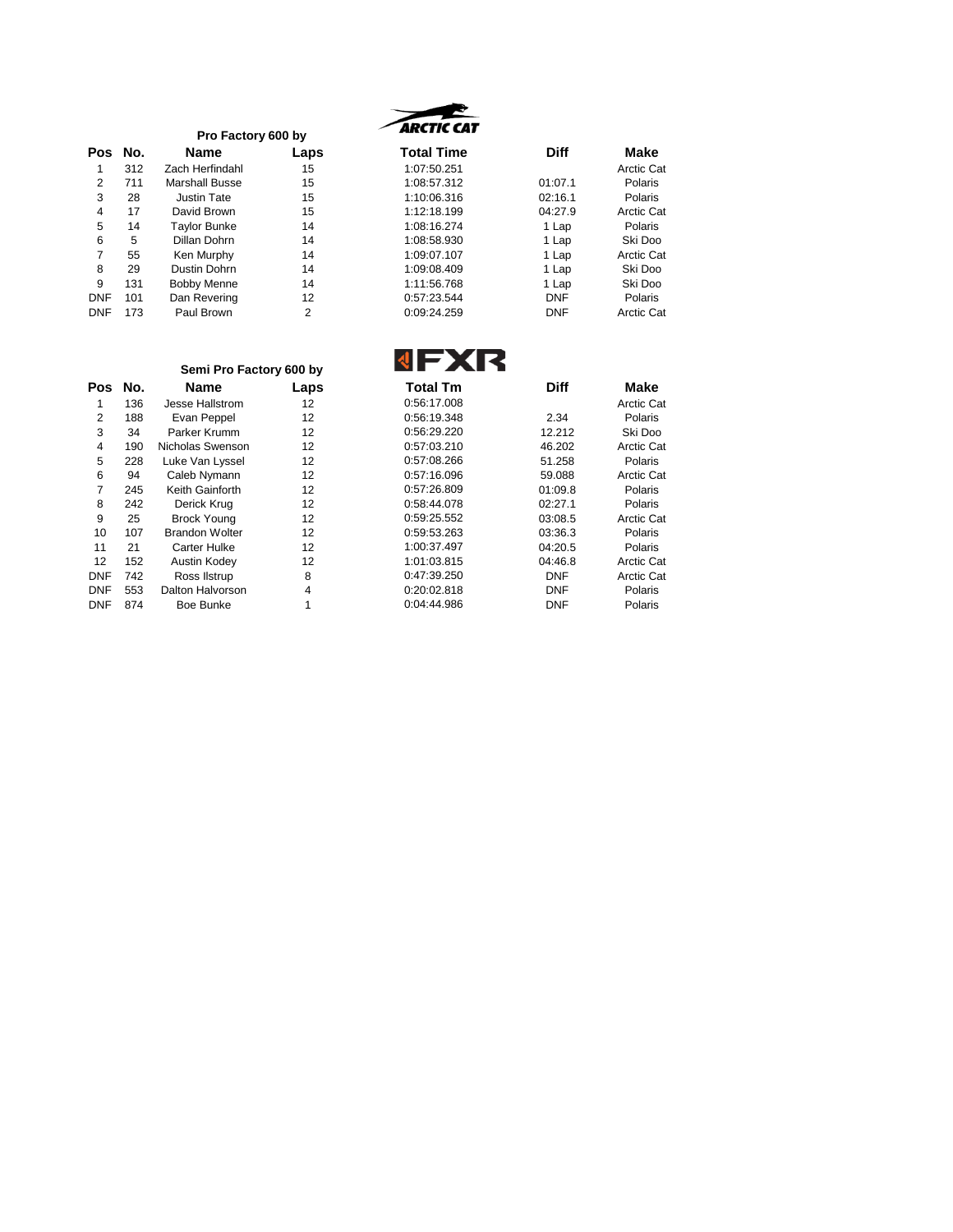|            |     | Pro Factory 600 by  |      |
|------------|-----|---------------------|------|
| Pos        | No. | Name                | Laps |
| 1          | 312 | Zach Herfindahl     | 15   |
| 2          | 711 | Marshall Busse      | 15   |
| 3          | 28  | <b>Justin Tate</b>  | 15   |
| 4          | 17  | David Brown         | 15   |
| 5          | 14  | <b>Taylor Bunke</b> | 14   |
| 6          | 5   | Dillan Dohrn        | 14   |
| 7          | 55  | Ken Murphy          | 14   |
| 8          | 29  | Dustin Dohrn        | 14   |
| 9          | 131 | <b>Bobby Menne</b>  | 14   |
| DNF        | 101 | Dan Revering        | 12   |
| <b>DNF</b> | 173 | Paul Brown          | 2    |



| Pos        | No. | <b>Name</b>           | Laps | <b>Total Time</b> | <b>Diff</b> | Make       |
|------------|-----|-----------------------|------|-------------------|-------------|------------|
|            | 312 | Zach Herfindahl       | 15   | 1:07:50.251       |             | Arctic Cat |
| 2          | 711 | <b>Marshall Busse</b> | 15   | 1:08:57.312       | 01:07.1     | Polaris    |
| 3          | 28  | Justin Tate           | 15   | 1:10:06.316       | 02:16.1     | Polaris    |
| 4          | 17  | David Brown           | 15   | 1:12:18.199       | 04:27.9     | Arctic Cat |
| 5          | 14  | <b>Taylor Bunke</b>   | 14   | 1:08:16.274       | 1 Lap       | Polaris    |
| 6          | 5   | Dillan Dohrn          | 14   | 1:08:58.930       | 1 Lap       | Ski Doo    |
|            | 55  | Ken Murphy            | 14   | 1:09:07.107       | 1 Lap       | Arctic Cat |
| 8          | 29  | Dustin Dohrn          | 14   | 1:09:08.409       | 1 Lap       | Ski Doo    |
| 9          | 131 | <b>Bobby Menne</b>    | 14   | 1:11:56.768       | 1 Lap       | Ski Doo    |
| <b>DNF</b> | 101 | Dan Revering          | 12   | 0.57:23.544       | <b>DNF</b>  | Polaris    |
| <b>DNF</b> | 173 | Paul Brown            | 2    | 0:09:24.259       | <b>DNF</b>  | Arctic Cat |

## Luke Van Lyssel Brock Young Carter Hulke DNF 742 Ross Ilstrup<br>DNF 553 Dalton Halvorso DNF 553 Dalton Halvorson<br>DNF 874 Boe Bunke Boe Bunke **Semi Pro Factory 600 by**

**JEYR** 

|            |     | Semi Pro Factory 600 by |      |                 |             |                   |
|------------|-----|-------------------------|------|-----------------|-------------|-------------------|
| <b>Pos</b> | No. | <b>Name</b>             | Laps | <b>Total Tm</b> | <b>Diff</b> | Make              |
|            | 136 | Jesse Hallstrom         | 12   | 0:56:17.008     |             | Arctic Cat        |
| 2          | 188 | Evan Peppel             | 12   | 0:56:19.348     | 2.34        | Polaris           |
| 3          | 34  | Parker Krumm            | 12   | 0:56:29.220     | 12.212      | Ski Doo           |
| 4          | 190 | Nicholas Swenson        | 12   | 0:57:03.210     | 46.202      | <b>Arctic Cat</b> |
| 5          | 228 | Luke Van Lyssel         | 12   | 0:57:08.266     | 51.258      | Polaris           |
| 6          | 94  | Caleb Nymann            | 12   | 0:57:16.096     | 59.088      | <b>Arctic Cat</b> |
| 7          | 245 | Keith Gainforth         | 12   | 0:57:26.809     | 01:09.8     | Polaris           |
| 8          | 242 | Derick Krug             | 12   | 0:58:44.078     | 02:27.1     | Polaris           |
| 9          | 25  | <b>Brock Young</b>      | 12   | 0:59:25.552     | 03:08.5     | <b>Arctic Cat</b> |
| 10         | 107 | <b>Brandon Wolter</b>   | 12   | 0:59:53.263     | 03:36.3     | Polaris           |
| 11         | 21  | <b>Carter Hulke</b>     | 12   | 1:00:37.497     | 04:20.5     | Polaris           |
| 12         | 152 | Austin Kodey            | 12   | 1:01:03.815     | 04:46.8     | Arctic Cat        |
| <b>DNF</b> | 742 | Ross Ilstrup            | 8    | 0:47:39.250     | <b>DNF</b>  | Arctic Cat        |
| <b>DNF</b> | 553 | Dalton Halvorson        | 4    | 0:20:02.818     | <b>DNF</b>  | Polaris           |
| <b>DNF</b> | 874 | Boe Bunke               |      | 0:04:44.986     | <b>DNF</b>  | Polaris           |
|            |     |                         |      |                 |             |                   |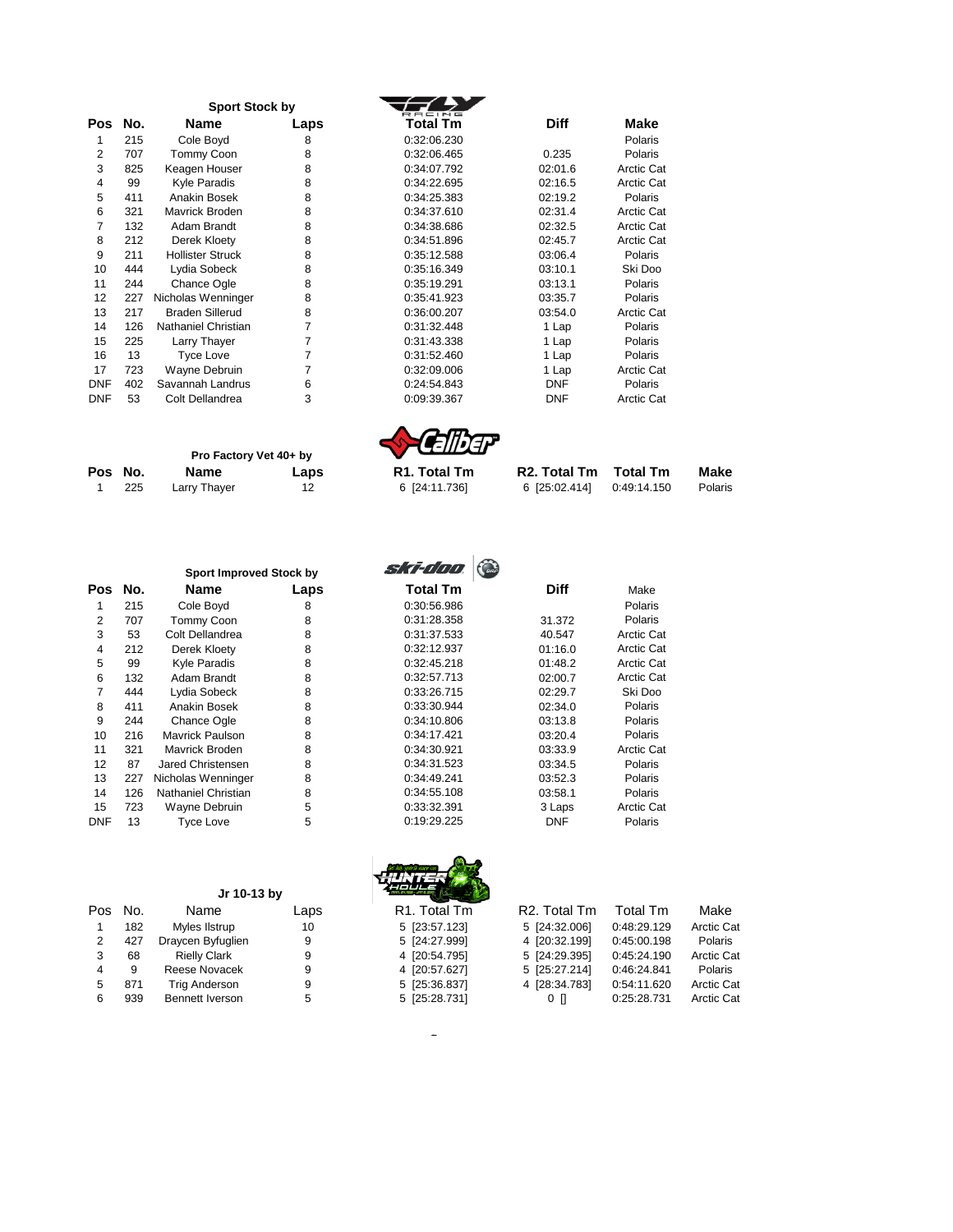|            |     | <b>Sport Stock by</b>   |      |             |             |                   |
|------------|-----|-------------------------|------|-------------|-------------|-------------------|
| Pos        | No. | Name                    | Laps | Total Tm    | <b>Diff</b> | Make              |
| 1          | 215 | Cole Boyd               | 8    | 0:32:06.230 |             | Polaris           |
| 2          | 707 | Tommy Coon              | 8    | 0:32:06.465 | 0.235       | <b>Polaris</b>    |
| 3          | 825 | Keagen Houser           | 8    | 0:34:07.792 | 02:01.6     | Arctic Cat        |
| 4          | 99  | Kyle Paradis            | 8    | 0:34:22.695 | 02:16.5     | Arctic Cat        |
| 5          | 411 | Anakin Bosek            | 8    | 0:34:25.383 | 02:19.2     | <b>Polaris</b>    |
| 6          | 321 | Mavrick Broden          | 8    | 0:34:37.610 | 02:31.4     | <b>Arctic Cat</b> |
| 7          | 132 | Adam Brandt             | 8    | 0:34:38.686 | 02:32.5     | Arctic Cat        |
| 8          | 212 | Derek Kloety            | 8    | 0:34:51.896 | 02:45.7     | <b>Arctic Cat</b> |
| 9          | 211 | <b>Hollister Struck</b> | 8    | 0:35:12.588 | 03:06.4     | Polaris           |
| 10         | 444 | Lydia Sobeck            | 8    | 0:35:16.349 | 03:10.1     | Ski Doo           |
| 11         | 244 | <b>Chance Ogle</b>      | 8    | 0:35:19.291 | 03:13.1     | Polaris           |
| 12         | 227 | Nicholas Wenninger      | 8    | 0:35:41.923 | 03:35.7     | Polaris           |
| 13         | 217 | <b>Braden Sillerud</b>  | 8    | 0:36:00.207 | 03:54.0     | Arctic Cat        |
| 14         | 126 | Nathaniel Christian     | 7    | 0:31:32.448 | 1 Lap       | Polaris           |
| 15         | 225 | Larry Thayer            | 7    | 0:31:43.338 | 1 Lap       | Polaris           |
| 16         | 13  | <b>Tyce Love</b>        | 7    | 0:31:52.460 | 1 Lap       | <b>Polaris</b>    |
| 17         | 723 | Wayne Debruin           | 7    | 0:32:09.006 | 1 Lap       | Arctic Cat        |
| <b>DNF</b> | 402 | Savannah Landrus        | 6    | 0:24:54.843 | <b>DNF</b>  | Polaris           |
| DNF        | 53  | Colt Dellandrea         | 3    | 0:09:39.367 | <b>DNF</b>  | Arctic Cat        |
|            |     |                         |      |             |             |                   |

|         |     | Pro Factory Vet 40+ by |      | <b>SHEIDEF</b>            |                                    |             |         |
|---------|-----|------------------------|------|---------------------------|------------------------------------|-------------|---------|
| Pos No. |     | Name                   | Laps | R <sub>1</sub> . Total Tm | R <sub>2</sub> . Total Tm Total Tm |             | Make    |
|         | 225 | Larry Thaver           | 12   | 6 [24:11.736]             | 6 [25:02.414]                      | 0:49:14.150 | Polaris |

|     |     | <b>Sport Improved Stock by</b> |      |
|-----|-----|--------------------------------|------|
| Pos | No. | Name                           | Laps |
| 1   | 215 | Cole Boyd                      | 8    |
| 2   | 707 | <b>Tommy Coon</b>              | 8    |
| 3   | 53  | Colt Dellandrea                | 8    |
| 4   | 212 | Derek Kloety                   | 8    |
| 5   | 99  | Kyle Paradis                   | 8    |
| 6   | 132 | Adam Brandt                    | 8    |
| 7   | 444 | Lydia Sobeck                   | 8    |
| 8   | 411 | Anakin Bosek                   | 8    |
| 9   | 244 | <b>Chance Ogle</b>             | 8    |
| 10  | 216 | Mavrick Paulson                | 8    |
| 11  | 321 | Mavrick Broden                 | 8    |
| 12  | 87  | Jared Christensen              | 8    |
| 13  | 227 | Nicholas Wenninger             | 8    |
| 14  | 126 | Nathaniel Christian            | 8    |
| 15  | 723 | Wayne Debruin                  | 5    |
| DNF | 13  | <b>Tyce Love</b>               | 5    |

| ski-doo         |             |                   |
|-----------------|-------------|-------------------|
| <b>Total Tm</b> | <b>Diff</b> | Make              |
| 0:30:56.986     |             | Polaris           |
| 0:31:28.358     | 31.372      | Polaris           |
| 0:31:37.533     | 40.547      | <b>Arctic Cat</b> |
| 0:32:12.937     | 01:16.0     | Arctic Cat        |
| 0:32:45.218     | 01:48.2     | Arctic Cat        |
| 0:32:57.713     | 02:00.7     | Arctic Cat        |
| 0:33:26.715     | 02:29.7     | Ski Doo           |
| 0:33:30.944     | 02:34.0     | Polaris           |
| 0:34:10.806     | 03:13.8     | Polaris           |
| 0:34:17.421     | 03:20.4     | Polaris           |
| 0:34:30.921     | 03:33.9     | Arctic Cat        |
| 0:34:31.523     | 03:34.5     | Polaris           |
| 0:34:49.241     | 03:52.3     | Polaris           |
| 0:34:55.108     | 03:58.1     | Polaris           |
| 0:33:32.391     | 3 Laps      | Arctic Cat        |
| 0:19:29.225     | DNF         | Polaris           |

|     |     | Jr 10-13 by         |      |                           |                           |             |            |
|-----|-----|---------------------|------|---------------------------|---------------------------|-------------|------------|
| Pos | No. | Name                | Laps | R <sub>1</sub> . Total Tm | R <sub>2</sub> . Total Tm | Total Tm    | Make       |
|     | 182 | Myles Ilstrup       | 10   | 5 [23:57.123]             | 5 [24:32.006]             | 0:48:29.129 | Arctic Cat |
| 2   | 427 | Draycen Byfuglien   | 9    | 5 [24:27.999]             | 4 [20:32.199]             | 0:45:00.198 | Polaris    |
| 3   | 68  | <b>Rielly Clark</b> | 9    | 4 [20:54.795]             | 5 [24:29.395]             | 0:45:24.190 | Arctic Cat |
| 4   | 9   | Reese Novacek       | 9    | 4 [20:57.627]             | 5 [25:27.214]             | 0:46:24.841 | Polaris    |
| 5   | 871 | Trig Anderson       | 9    | 5 [25:36.837]             | 4 [28:34.783]             | 0:54:11.620 | Arctic Cat |
| 6   | 939 | Bennett Iverson     | 5    | 5 [25:28.731]             | $0 \Pi$                   | 0:25:28.731 | Arctic Cat |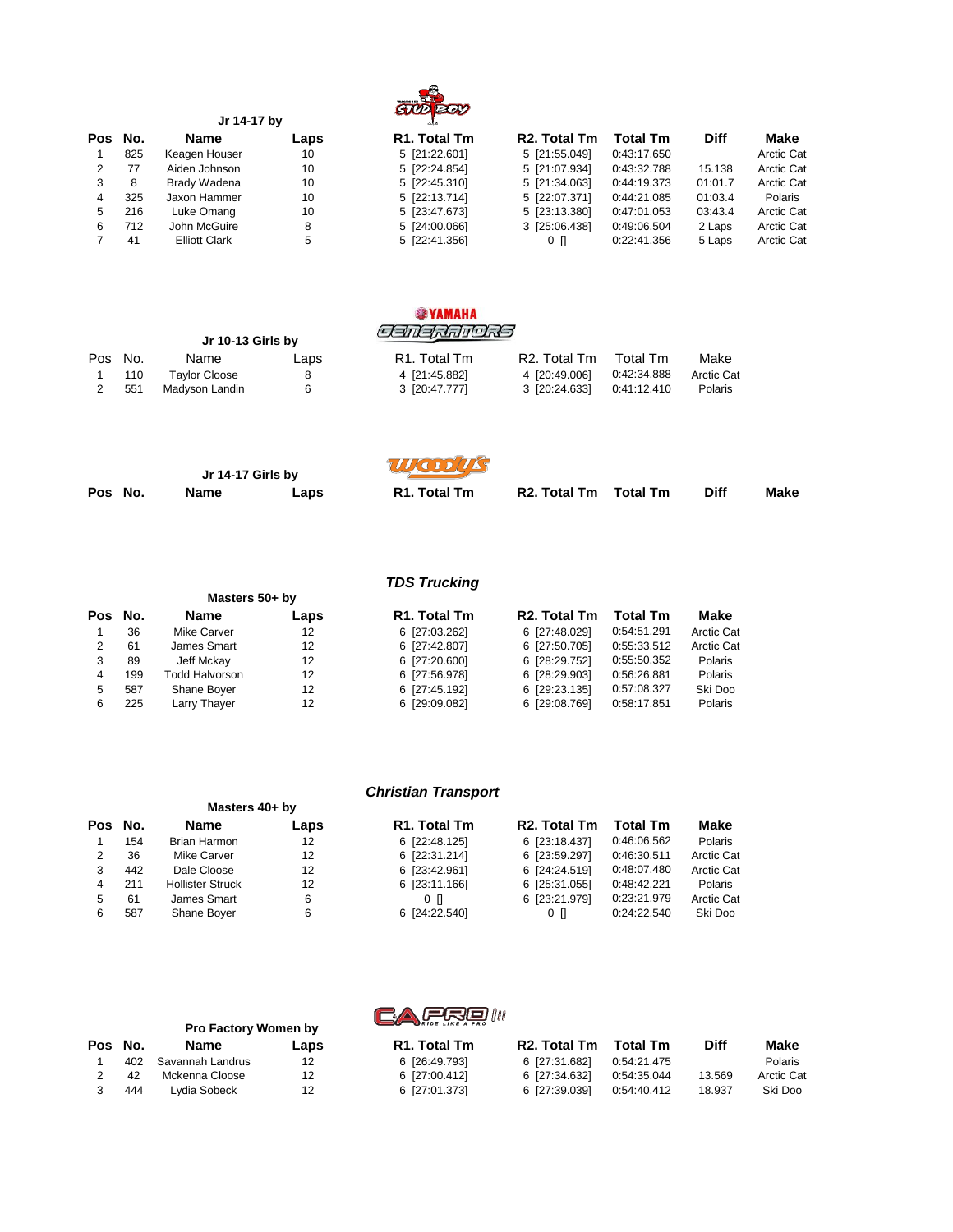

|    | Jr 14-17 by |                      |      | $\sim$                    |                           |                 |             |                   |
|----|-------------|----------------------|------|---------------------------|---------------------------|-----------------|-------------|-------------------|
|    | Pos No.     | <b>Name</b>          | Laps | R <sub>1</sub> . Total Tm | R <sub>2</sub> . Total Tm | <b>Total Tm</b> | <b>Diff</b> | Make              |
|    | 825         | Keagen Houser        | 10   | 5 [21:22.601]             | 5 [21:55.049]             | 0:43:17.650     |             | <b>Arctic Cat</b> |
|    | 77          | Aiden Johnson        | 10   | 5 [22:24.854]             | 5 [21:07.934]             | 0:43:32.788     | 15.138      | <b>Arctic Cat</b> |
| 3  | 8           | Brady Wadena         | 10   | 5 [22:45.310]             | 5 [21:34.063]             | 0:44:19.373     | 01:01.7     | <b>Arctic Cat</b> |
|    | 325         | Jaxon Hammer         | 10   | 5 [22:13.714]             | 5 [22:07.371]             | 0:44:21.085     | 01:03.4     | Polaris           |
| 5. | 216         | Luke Omang           | 10   | 5 [23:47.673]             | 5 [23:13.380]             | 0:47:01.053     | 03:43.4     | <b>Arctic Cat</b> |
| 6  | 712         | John McGuire         | 8    | 5 [24:00.066]             | 3 [25:06.438]             | 0:49:06.504     | 2 Laps      | <b>Arctic Cat</b> |
|    | 41          | <b>Elliott Clark</b> | 5    | 5 [22:41.356]             | $0 \Pi$                   | 0:22:41.356     | 5 Laps      | <b>Arctic Cat</b> |
|    |             |                      |      |                           |                           |                 |             |                   |

|         |     | Jr 10-13 Girls by    |      | <b>SEXAMAHA</b><br><i>SENERANORS</i> |                           |             |            |
|---------|-----|----------------------|------|--------------------------------------|---------------------------|-------------|------------|
| Pos No. |     | Name                 | Laps | R <sub>1</sub> . Total Tm            | R <sub>2</sub> . Total Tm | Total Tm    | Make       |
|         | 110 | <b>Taylor Cloose</b> | 8    | 4 [21:45.882]                        | 4 [20:49.006]             | 0:42:34.888 | Arctic Cat |
|         | 551 | Madyson Landin       | 6    | 3 [20:47.777]                        | 3 [20:24.633]             | 0:41:12.410 | Polaris    |

| Jr 14-17 Girls by |      | WODUS |                     |                       |             |      |
|-------------------|------|-------|---------------------|-----------------------|-------------|------|
| Pos No.           | Name | Laps  | <b>R1. Total Tm</b> | R2. Total Tm Total Tm | <b>Diff</b> | Make |

|            | <b>TDS Trucking</b> |                |      |                           |                           |                 |            |  |  |
|------------|---------------------|----------------|------|---------------------------|---------------------------|-----------------|------------|--|--|
|            |                     | Masters 50+ by |      |                           |                           |                 |            |  |  |
| <b>Pos</b> | No.                 | <b>Name</b>    | Laps | R <sub>1</sub> . Total Tm | R <sub>2</sub> . Total Tm | <b>Total Tm</b> | Make       |  |  |
|            | 36                  | Mike Carver    | 12   | 6 [27:03.262]             | 6 [27:48.029]             | 0:54:51.291     | Arctic Cat |  |  |
| 2          | 61                  | James Smart    | 12   | 6 [27:42.807]             | 6 [27:50.705]             | 0:55:33.512     | Arctic Cat |  |  |
| 3          | 89                  | Jeff Mckay     | 12   | 6 [27:20.600]             | 6 [28:29.752]             | 0:55:50.352     | Polaris    |  |  |
| 4          | 199                 | Todd Halvorson | 12   | 6 [27:56.978]             | 6 [28:29.903]             | 0:56:26.881     | Polaris    |  |  |
| 5          | 587                 | Shane Boyer    | 12   | 6 [27:45.192]             | 6 [29:23.135]             | 0:57:08.327     | Ski Doo    |  |  |
| 6          | 225                 | Larry Thayer   | 12   | 6 [29:09.082]             | 6 [29:08.769]             | 0:58:17.851     | Polaris    |  |  |

|         |                |      | <b>Christian Transport</b> |                           |                 |           |
|---------|----------------|------|----------------------------|---------------------------|-----------------|-----------|
|         | Masters 40+ by |      |                            |                           |                 |           |
| Pos No. | Name           | Laps | R <sub>1</sub> . Total Tm  | R <sub>2</sub> . Total Tm | <b>Total Tm</b> | Make      |
| 154     | Brian Harmon   | 12   | 6 [22:48.125]              | 6 [23:18.437]             | 0:46:06.562     | Polaris   |
| 36      | Mike Carver    | 12   | 6 [22:31.214]              | 6 [23:59.297]             | 0:46:30.511     | Arctic Ca |
| 442     | Dale Cloose    | 12   | 6 [23:42.961]              | 6 [24:24.519]             | 0:48:07.480     | Arctic C  |

| Pos No. | Name                    | Laps | R <sub>1</sub> . Total Tm | R <sub>2</sub> . Total Tm | <b>Total Tm</b> | Make       |
|---------|-------------------------|------|---------------------------|---------------------------|-----------------|------------|
| 154     | <b>Brian Harmon</b>     | 12   | 6 [22:48.125]             | 6 [23:18.437]             | 0:46:06.562     | Polaris    |
| 36      | Mike Carver             | 12   | 6 [22:31.214]             | 6 [23:59.297]             | 0:46:30.511     | Arctic Cat |
| 442     | Dale Cloose             | 12   | 6 [23:42.961]             | 6 [24:24.519]             | 0:48:07.480     | Arctic Cat |
| 211     | <b>Hollister Struck</b> | 12   | 6 [23:11.166]             | 6 [25:31.055]             | 0:48:42.221     | Polaris    |
| 61      | James Smart             | 6    | 0 N                       | 6 [23:21.979]             | 0:23:21.979     | Arctic Cat |
| 587     | Shane Boyer             | 6    | 6 [24:22.540]             | $0 \Pi$                   | 0:24:22.540     | Ski Doo    |
|         |                         |      |                           |                           |                 |            |

|         |     | <b>Pro Factory Women by</b> |      | CAFRE                     |                           |             |             |                   |
|---------|-----|-----------------------------|------|---------------------------|---------------------------|-------------|-------------|-------------------|
| Pos No. |     | <b>Name</b>                 | Laps | R <sub>1</sub> . Total Tm | R <sub>2</sub> . Total Tm | Total Tm    | <b>Diff</b> | Make              |
|         | 402 | Savannah Landrus            | 12   | 6 [26:49.793]             | 6 [27:31.682]             | 0:54:21.475 |             | <b>Polaris</b>    |
|         | 42  | Mckenna Cloose              | 12   | 6 [27:00.412]             | 6 [27:34.632]             | 0:54:35.044 | 13.569      | <b>Arctic Cat</b> |
|         | 444 | Lydia Sobeck                | 12   | 6 [27:01.373]             | 6 [27:39.039]             | 0:54:40.412 | 18.937      | Ski Doo           |